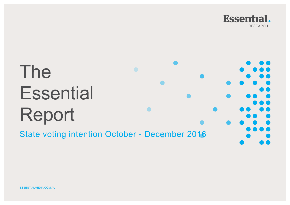

# The **Essential** Report

State voting intention October - December 2016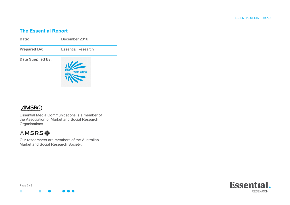#### **The Essential Report**



## **AMSRO**

Essential Media Communications is a member of the Association of Market and Social Research **Organisations** 

## **AMSRS幸**

Our researchers are members of the Australian Market and Social Research Society.



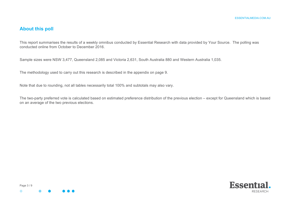#### **About this poll**

This report summarises the results of a weekly omnibus conducted by Essential Research with data provided by Your Source. The polling was conducted online from October to December 2016.

Sample sizes were NSW 3,477, Queensland 2,085 and Victoria 2,631, South Australia 880 and Western Australia 1,035.

The methodology used to carry out this research is described in the appendix on page 9.

Note that due to rounding, not all tables necessarily total 100% and subtotals may also vary.

The two-party preferred vote is calculated based on estimated preference distribution of the previous election – except for Queensland which is based on an average of the two previous elections.



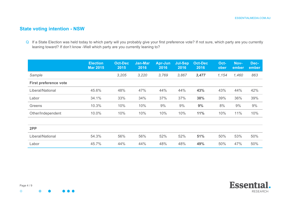### **State voting intention - NSW**

|                              | <b>Election</b><br><b>Mar 2015</b> | <b>Oct-Dec</b><br>2015 | <b>Jan-Mar</b><br>2016 | Apr-Jun<br>2016 | <b>Jul-Sep</b><br>2016 | <b>Oct-Dec</b><br>2016 | Oct-<br>ober | Nov-<br>ember | Dec-<br>ember |
|------------------------------|------------------------------------|------------------------|------------------------|-----------------|------------------------|------------------------|--------------|---------------|---------------|
| Sample                       |                                    | 3,205                  | 3,220                  | 3,769           | 3,867                  | 3,477                  | 1,154        | 1,460         | 863           |
| <b>First preference vote</b> |                                    |                        |                        |                 |                        |                        |              |               |               |
| Liberal/National             | 45.6%                              | 48%                    | 47%                    | 44%             | 44%                    | 43%                    | 43%          | 44%           | 42%           |
| Labor                        | 34.1%                              | 33%                    | 34%                    | 37%             | 37%                    | 38%                    | 39%          | 36%           | 39%           |
| Greens                       | 10.3%                              | 10%                    | 10%                    | 9%              | 9%                     | 9%                     | 8%           | 9%            | 9%            |
| Other/Independent            | 10.0%                              | 10%                    | 10%                    | 10%             | 10%                    | 11%                    | 10%          | 11%           | 10%           |
|                              |                                    |                        |                        |                 |                        |                        |              |               |               |
| 2PP                          |                                    |                        |                        |                 |                        |                        |              |               |               |
| Liberal/National             | 54.3%                              | 56%                    | 56%                    | 52%             | 52%                    | 51%                    | 50%          | 53%           | 50%           |
| Labor                        | 45.7%                              | 44%                    | 44%                    | 48%             | 48%                    | 49%                    | 50%          | 47%           | 50%           |

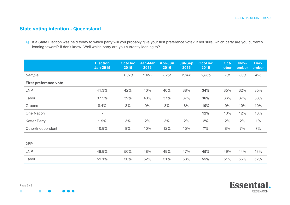Essential.

**RESEARCH** 

#### **State voting intention - Queensland**

|                              | <b>Election</b><br><b>Jan 2015</b> | <b>Oct-Dec</b><br>2015 | <b>Jan-Mar</b><br>2016 | Apr-Jun<br>2016 | <b>Jul-Sep</b><br>2016 | <b>Oct-Dec</b><br>2016 | Oct-<br>ober | Nov-<br>ember | Dec-<br>ember |
|------------------------------|------------------------------------|------------------------|------------------------|-----------------|------------------------|------------------------|--------------|---------------|---------------|
| Sample                       |                                    | 1,873                  | 1,893                  | 2,251           | 2,386                  | 2,085                  | 701          | 888           | 496           |
| <b>First preference vote</b> |                                    |                        |                        |                 |                        |                        |              |               |               |
| <b>LNP</b>                   | 41.3%                              | 42%                    | 40%                    | 40%             | 38%                    | 34%                    | 35%          | 32%           | 35%           |
| Labor                        | 37.5%                              | 39%                    | 40%                    | 37%             | 37%                    | 36%                    | 36%          | 37%           | 33%           |
| Greens                       | 8.4%                               | 8%                     | 9%                     | $8\%$           | 8%                     | 10%                    | 9%           | 10%           | 10%           |
| One Nation                   | $\overline{\phantom{a}}$           |                        |                        |                 |                        | 12%                    | 10%          | 12%           | 13%           |
| <b>Katter Party</b>          | 1.9%                               | 3%                     | 2%                     | 3%              | 2%                     | 2%                     | 2%           | 2%            | $1\%$         |
| Other/Independent            | 10.9%                              | 8%                     | 10%                    | 12%             | 15%                    | 7%                     | 8%           | 7%            | 7%            |
|                              |                                    |                        |                        |                 |                        |                        |              |               |               |
| 2PP                          |                                    |                        |                        |                 |                        |                        |              |               |               |
| <b>LNP</b>                   | 48.9%                              | 50%                    | 48%                    | 49%             | 47%                    | 45%                    | 49%          | 44%           | 48%           |
| Labor                        | 51.1%                              | 50%                    | 52%                    | 51%             | 53%                    | 55%                    | 51%          | 56%           | 52%           |

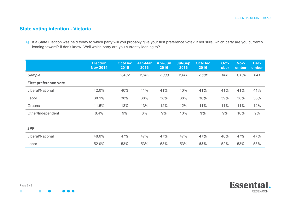#### **State voting intention - Victoria**

|                              | <b>Election</b><br><b>Nov 2014</b> | <b>Oct-Dec</b><br>2015 | <b>Jan-Mar</b><br>2016 | Apr-Jun<br>2016 | <b>Jul-Sep</b><br>2016 | <b>Oct-Dec</b><br>2016 | Oct-<br>ober | Nov-<br>ember | Dec-<br>ember |
|------------------------------|------------------------------------|------------------------|------------------------|-----------------|------------------------|------------------------|--------------|---------------|---------------|
| Sample                       |                                    | 2,402                  | 2,383                  | 2,803           | 2,880                  | 2,631                  | 886          | 1,104         | 641           |
| <b>First preference vote</b> |                                    |                        |                        |                 |                        |                        |              |               |               |
| Liberal/National             | 42.0%                              | 40%                    | 41%                    | 41%             | 40%                    | 41%                    | 41%          | 41%           | 41%           |
| Labor                        | 38.1%                              | 38%                    | 38%                    | 38%             | 38%                    | 38%                    | 39%          | 38%           | 38%           |
| Greens                       | 11.5%                              | 13%                    | 13%                    | 12%             | 12%                    | 11%                    | 11%          | 11%           | 12%           |
| Other/Independent            | 8.4%                               | 9%                     | 8%                     | 9%              | 10%                    | 9%                     | 9%           | 10%           | 9%            |
|                              |                                    |                        |                        |                 |                        |                        |              |               |               |
| 2PP                          |                                    |                        |                        |                 |                        |                        |              |               |               |
| Liberal/National             | 48.0%                              | 47%                    | 47%                    | 47%             | 47%                    | 47%                    | 48%          | 47%           | 47%           |
| Labor                        | 52.0%                              | 53%                    | 53%                    | 53%             | 53%                    | 53%                    | 52%          | 53%           | 53%           |

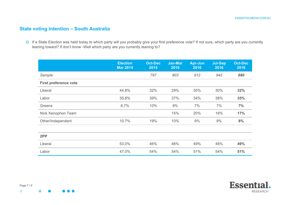#### **State voting intention – South Australia**

|                              | <b>Election</b><br><b>Mar 2014</b> | <b>Oct-Dec</b><br>2015 | Jan-Mar<br>2016 | <b>Apr-Jun</b><br>2016 | <b>Jul-Sep</b><br>2016 | <b>Oct-Dec</b><br>2016 |
|------------------------------|------------------------------------|------------------------|-----------------|------------------------|------------------------|------------------------|
| Sample                       |                                    | 797                    | 803             | 912                    | 942                    | 880                    |
| <b>First preference vote</b> |                                    |                        |                 |                        |                        |                        |
| Liberal                      | 44.8%                              | 32%                    | 29%             | 30%                    | 30%                    | 32%                    |
| Labor                        | 35.8%                              | 39%                    | 37%             | 34%                    | 38%                    | 35%                    |
| Greens                       | 8.7%                               | 10%                    | 9%              | 7%                     | 7%                     | 7%                     |
| Nick Xenophon Team           |                                    |                        | 15%             | 20%                    | 16%                    | 17%                    |
| Other/Independent            | 10.7%                              | 19%                    | 10%             | 9%                     | 9%                     | 8%                     |
|                              |                                    |                        |                 |                        |                        |                        |
| 2PP                          |                                    |                        |                 |                        |                        |                        |
| Liberal                      | 53.0%                              | 46%                    | 46%             | 49%                    | 46%                    | 49%                    |
| Labor                        | 47.0%                              | 54%                    | 54%             | 51%                    | 54%                    | 51%                    |

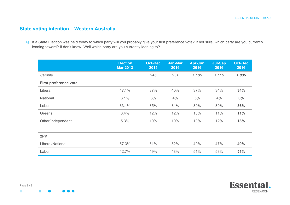#### **State voting intention – Western Australia**

|                              | <b>Election</b><br><b>Mar 2013</b> | <b>Oct-Dec</b><br>2015 | Jan-Mar<br>2016 | <b>Apr-Jun</b><br>2016 | <b>Jul-Sep</b><br>2016 | <b>Oct-Dec</b><br>2016 |
|------------------------------|------------------------------------|------------------------|-----------------|------------------------|------------------------|------------------------|
| Sample                       |                                    | 946                    | 931             | 1,105                  | 1,115                  | 1,035                  |
| <b>First preference vote</b> |                                    |                        |                 |                        |                        |                        |
| Liberal                      | 47.1%                              | 37%                    | 40%             | 37%                    | 34%                    | 34%                    |
| National                     | 6.1%                               | 6%                     | 4%              | 5%                     | 4%                     | 6%                     |
| Labor                        | 33.1%                              | 35%                    | 34%             | 39%                    | 39%                    | 36%                    |
| Greens                       | 8.4%                               | 12%                    | 12%             | 10%                    | 11%                    | 11%                    |
| Other/Independent            | 5.3%                               | 10%                    | 10%             | 10%                    | 12%                    | 13%                    |
|                              |                                    |                        |                 |                        |                        |                        |
| 2PP                          |                                    |                        |                 |                        |                        |                        |
| Liberal/National             | 57.3%                              | 51%                    | 52%             | 49%                    | 47%                    | 49%                    |
| Labor                        | 42.7%                              | 49%                    | 48%             | 51%                    | 53%                    | 51%                    |